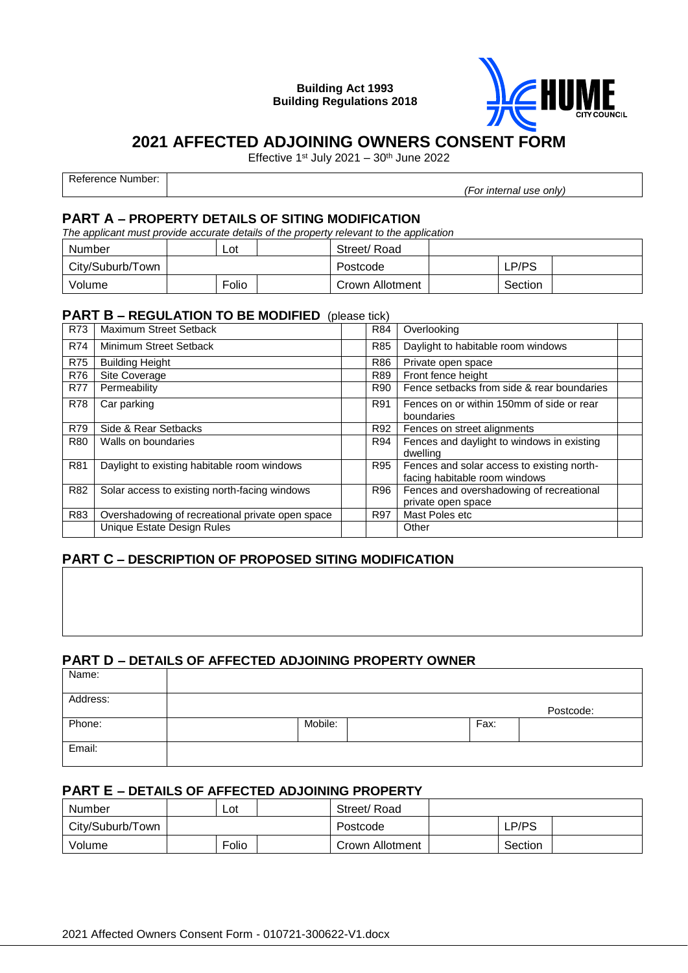**Building Act 1993 Building Regulations 2018**



# **2021 AFFECTED ADJOINING OWNERS CONSENT FORM**

Effective 1st July 2021 –  $30<sup>th</sup>$  June 2022

| Reference Number: |                         |
|-------------------|-------------------------|
|                   | (For internal use only) |

### **PART A – PROPERTY DETAILS OF SITING MODIFICATION**

*The applicant must provide accurate details of the property relevant to the application*

| Number           | Lot   | Street/Road     |         |  |
|------------------|-------|-----------------|---------|--|
| City/Suburb/Town |       | Postcode        | ∟P/PS   |  |
| Volume           | Folio | Crown Allotment | Section |  |

#### **PART B – REGULATION TO BE MODIFIED** (please tick)

| <b>R73</b>      | Maximum Street Setback                           | R84        | Overlooking                                                                 |  |
|-----------------|--------------------------------------------------|------------|-----------------------------------------------------------------------------|--|
| <b>R74</b>      | Minimum Street Setback                           | <b>R85</b> | Daylight to habitable room windows                                          |  |
| <b>R75</b>      | <b>Building Height</b>                           | R86        | Private open space                                                          |  |
| <b>R76</b>      | Site Coverage                                    | R89        | Front fence height                                                          |  |
| <b>R77</b>      | Permeability                                     | R90        | Fence setbacks from side & rear boundaries                                  |  |
| <b>R78</b>      | Car parking                                      | R91        | Fences on or within 150mm of side or rear<br>boundaries                     |  |
| <b>R79</b>      | Side & Rear Setbacks                             | R92        | Fences on street alignments                                                 |  |
| <b>R80</b>      | Walls on boundaries                              | R94        | Fences and daylight to windows in existing<br>dwelling                      |  |
| R <sub>81</sub> | Daylight to existing habitable room windows      | R95        | Fences and solar access to existing north-<br>facing habitable room windows |  |
| R82             | Solar access to existing north-facing windows    | R96        | Fences and overshadowing of recreational<br>private open space              |  |
| R83             | Overshadowing of recreational private open space | R97        | Mast Poles etc                                                              |  |
|                 | Unique Estate Design Rules                       |            | Other                                                                       |  |

## **PART C – DESCRIPTION OF PROPOSED SITING MODIFICATION**

#### **PART D – DETAILS OF AFFECTED ADJOINING PROPERTY OWNER**

| Name:    |         |      |           |
|----------|---------|------|-----------|
| Address: |         |      | Postcode: |
| Phone:   | Mobile: | Fax: |           |
| Email:   |         |      |           |

# **PART E – DETAILS OF AFFECTED ADJOINING PROPERTY**

| Number           | Lot   | Street/Road     |         |  |
|------------------|-------|-----------------|---------|--|
| City/Suburb/Town |       | Postcode        | LP/PS   |  |
| Volume           | Folio | Crown Allotment | Section |  |